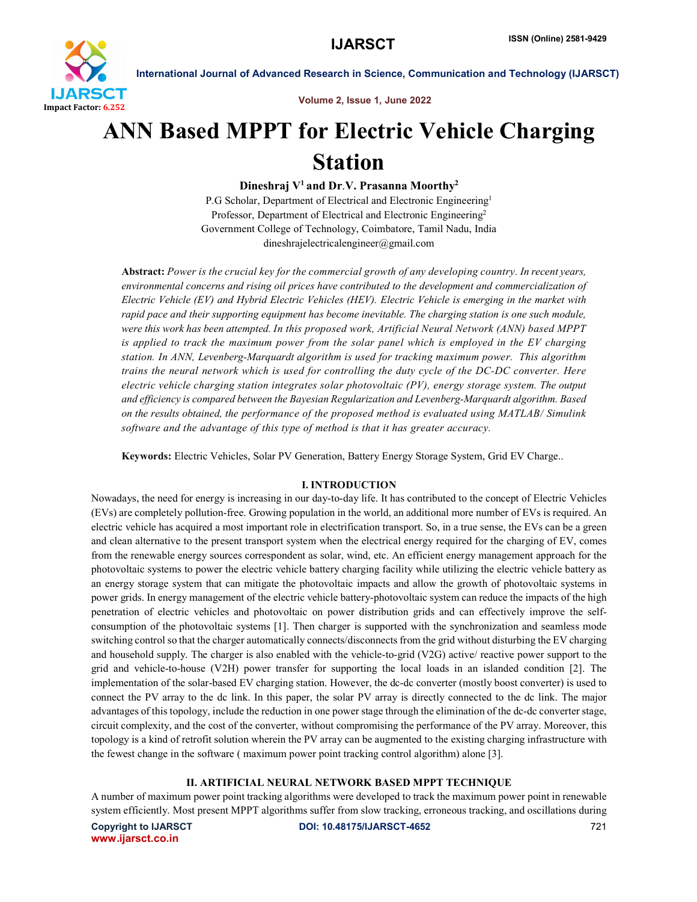

Volume 2, Issue 1, June 2022

## ANN Based MPPT for Electric Vehicle Charging Station

Dineshraj  $V^1$  and Dr.V. Prasanna Moorthy<sup>2</sup>

P.G Scholar, Department of Electrical and Electronic Engineering<sup>1</sup> Professor, Department of Electrical and Electronic Engineering<sup>2</sup> Government College of Technology, Coimbatore, Tamil Nadu, India dineshrajelectricalengineer@gmail.com

Abstract: *Power is the crucial key for the commercial growth of any developing country. In recent years, environmental concerns and rising oil prices have contributed to the development and commercialization of Electric Vehicle (EV) and Hybrid Electric Vehicles (HEV). Electric Vehicle is emerging in the market with rapid pace and their supporting equipment has become inevitable. The charging station is one such module, were this work has been attempted. In this proposed work, Artificial Neural Network (ANN) based MPPT is applied to track the maximum power from the solar panel which is employed in the EV charging station. In ANN, Levenberg-Marquardt algorithm is used for tracking maximum power. This algorithm trains the neural network which is used for controlling the duty cycle of the DC-DC converter. Here electric vehicle charging station integrates solar photovoltaic (PV), energy storage system. The output and efficiency is compared between the Bayesian Regularization and Levenberg-Marquardt algorithm. Based on the results obtained, the performance of the proposed method is evaluated using MATLAB/ Simulink software and the advantage of this type of method is that it has greater accuracy.*

Keywords: Electric Vehicles, Solar PV Generation, Battery Energy Storage System, Grid EV Charge..

### I. INTRODUCTION

Nowadays, the need for energy is increasing in our day-to-day life. It has contributed to the concept of Electric Vehicles (EVs) are completely pollution-free. Growing population in the world, an additional more number of EVs is required. An electric vehicle has acquired a most important role in electrification transport. So, in a true sense, the EVs can be a green and clean alternative to the present transport system when the electrical energy required for the charging of EV, comes from the renewable energy sources correspondent as solar, wind, etc. An efficient energy management approach for the photovoltaic systems to power the electric vehicle battery charging facility while utilizing the electric vehicle battery as an energy storage system that can mitigate the photovoltaic impacts and allow the growth of photovoltaic systems in power grids. In energy management of the electric vehicle battery-photovoltaic system can reduce the impacts of the high penetration of electric vehicles and photovoltaic on power distribution grids and can effectively improve the selfconsumption of the photovoltaic systems [1]. Then charger is supported with the synchronization and seamless mode switching control so that the charger automatically connects/disconnects from the grid without disturbing the EV charging and household supply. The charger is also enabled with the vehicle-to-grid (V2G) active/ reactive power support to the grid and vehicle-to-house (V2H) power transfer for supporting the local loads in an islanded condition [2]. The implementation of the solar-based EV charging station. However, the dc-dc converter (mostly boost converter) is used to connect the PV array to the dc link. In this paper, the solar PV array is directly connected to the dc link. The major advantages of this topology, include the reduction in one power stage through the elimination of the dc-dc converter stage, circuit complexity, and the cost of the converter, without compromising the performance of the PV array. Moreover, this topology is a kind of retrofit solution wherein the PV array can be augmented to the existing charging infrastructure with the fewest change in the software ( maximum power point tracking control algorithm) alone [3].

## II. ARTIFICIAL NEURAL NETWORK BASED MPPT TECHNIQUE

A number of maximum power point tracking algorithms were developed to track the maximum power point in renewable system efficiently. Most present MPPT algorithms suffer from slow tracking, erroneous tracking, and oscillations during

www.ijarsct.co.in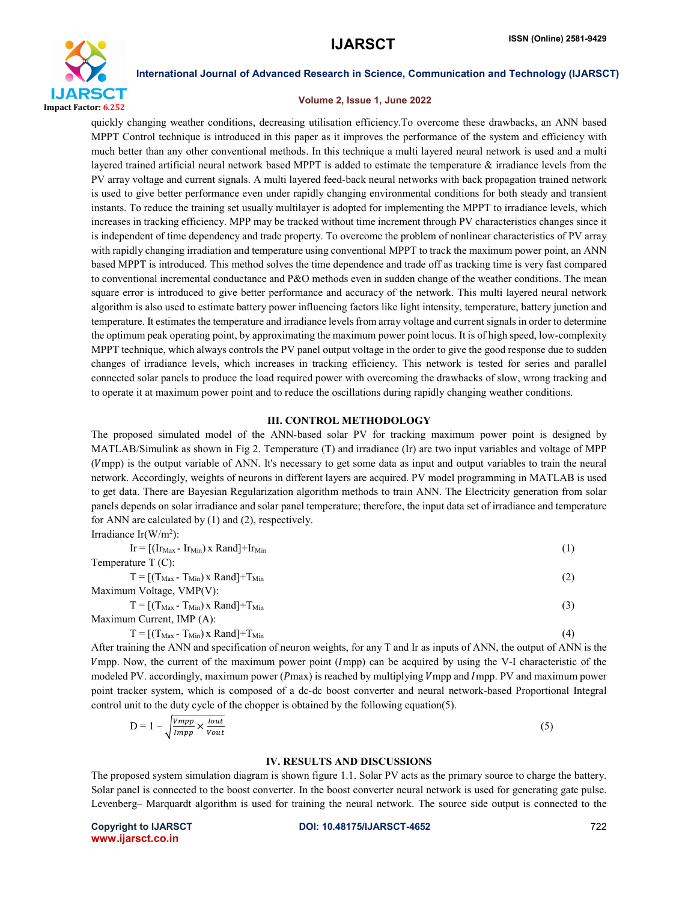

### Volume 2, Issue 1, June 2022

quickly changing weather conditions, decreasing utilisation efficiency.To overcome these drawbacks, an ANN based MPPT Control technique is introduced in this paper as it improves the performance of the system and efficiency with much better than any other conventional methods. In this technique a multi layered neural network is used and a multi layered trained artificial neural network based MPPT is added to estimate the temperature  $\&$  irradiance levels from the PV array voltage and current signals. A multi layered feed-back neural networks with back propagation trained network is used to give better performance even under rapidly changing environmental conditions for both steady and transient instants. To reduce the training set usually multilayer is adopted for implementing the MPPT to irradiance levels, which increases in tracking efficiency. MPP may be tracked without time increment through PV characteristics changes since it is independent of time dependency and trade property. To overcome the problem of nonlinear characteristics of PV array with rapidly changing irradiation and temperature using conventional MPPT to track the maximum power point, an ANN based MPPT is introduced. This method solves the time dependence and trade off as tracking time is very fast compared to conventional incremental conductance and P&O methods even in sudden change of the weather conditions. The mean square error is introduced to give better performance and accuracy of the network. This multi layered neural network algorithm is also used to estimate battery power influencing factors like light intensity, temperature, battery junction and temperature. It estimates the temperature and irradiance levels from array voltage and current signals in order to determine the optimum peak operating point, by approximating the maximum power point locus. It is of high speed, low-complexity MPPT technique, which always controls the PV panel output voltage in the order to give the good response due to sudden changes of irradiance levels, which increases in tracking efficiency. This network is tested for series and parallel connected solar panels to produce the load required power with overcoming the drawbacks of slow, wrong tracking and to operate it at maximum power point and to reduce the oscillations during rapidly changing weather conditions.

### III. CONTROL METHODOLOGY

The proposed simulated model of the ANN-based solar PV for tracking maximum power point is designed by MATLAB/Simulink as shown in Fig 2. Temperature (T) and irradiance (Ir) are two input variables and voltage of MPP (mpp) is the output variable of ANN. It's necessary to get some data as input and output variables to train the neural network. Accordingly, weights of neurons in different layers are acquired. PV model programming in MATLAB is used to get data. There are Bayesian Regularization algorithm methods to train ANN. The Electricity generation from solar panels depends on solar irradiance and solar panel temperature; therefore, the input data set of irradiance and temperature for ANN are calculated by (1) and (2), respectively.

Irradiance  $Ir(W/m<sup>2</sup>)$ :

| $Ir = [(Ir_{Max} - Ir_{Min}) \times Rand] + Ir_{Min}$ |  |
|-------------------------------------------------------|--|
| Temperature $T(C)$ :                                  |  |

$$
T = [(TMax - TMin) \times Rand] + TMin
$$
\n(2)

Maximum Voltage, VMP(V):  $T = [(T_{\text{Max}} - T_{\text{Min}}) \times \text{Rand}] + T_{\text{Min}}$  (3)

Maximum Current, IMP (A):

$$
T = [(TMax - TMin) \times Rand] + TMin
$$
 (4)

After training the ANN and specification of neuron weights, for any T and Ir as inputs of ANN, the output of ANN is the mpp. Now, the current of the maximum power point (mpp) can be acquired by using the V-I characteristic of the modeled PV. accordingly, maximum power (Pmax) is reached by multiplying  $V$ mpp and Impp. PV and maximum power point tracker system, which is composed of a dc-dc boost converter and neural network-based Proportional Integral control unit to the duty cycle of the chopper is obtained by the following equation(5).

$$
D = 1 - \sqrt{\frac{Vmpp}{Impp} \times \frac{Iout}{Vout}}
$$
 (5)

### IV. RESULTS AND DISCUSSIONS

The proposed system simulation diagram is shown figure 1.1. Solar PV acts as the primary source to charge the battery. Solar panel is connected to the boost converter. In the boost converter neural network is used for generating gate pulse. Levenberg– Marquardt algorithm is used for training the neural network. The source side output is connected to the

www.ijarsct.co.in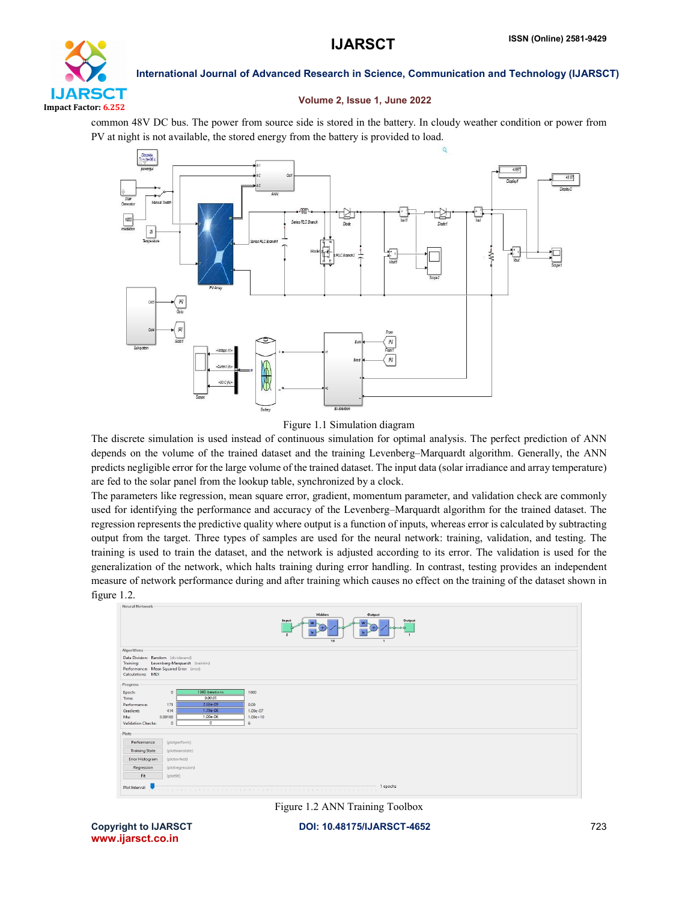

### Volume 2, Issue 1, June 2022

common 48V DC bus. The power from source side is stored in the battery. In cloudy weather condition or power from PV at night is not available, the stored energy from the battery is provided to load.



## Figure 1.1 Simulation diagram

The discrete simulation is used instead of continuous simulation for optimal analysis. The perfect prediction of ANN depends on the volume of the trained dataset and the training Levenberg–Marquardt algorithm. Generally, the ANN predicts negligible error for the large volume of the trained dataset. The input data (solar irradiance and array temperature) are fed to the solar panel from the lookup table, synchronized by a clock.

The parameters like regression, mean square error, gradient, momentum parameter, and validation check are commonly used for identifying the performance and accuracy of the Levenberg–Marquardt algorithm for the trained dataset. The regression represents the predictive quality where output is a function of inputs, whereas error is calculated by subtracting output from the target. Three types of samples are used for the neural network: training, validation, and testing. The training is used to train the dataset, and the network is adjusted according to its error. The validation is used for the generalization of the network, which halts training during error handling. In contrast, testing provides an independent measure of network performance during and after training which causes no effect on the training of the dataset shown in figure 1.2.



Figure 1.2 ANN Training Toolbox

www.ijarsct.co.in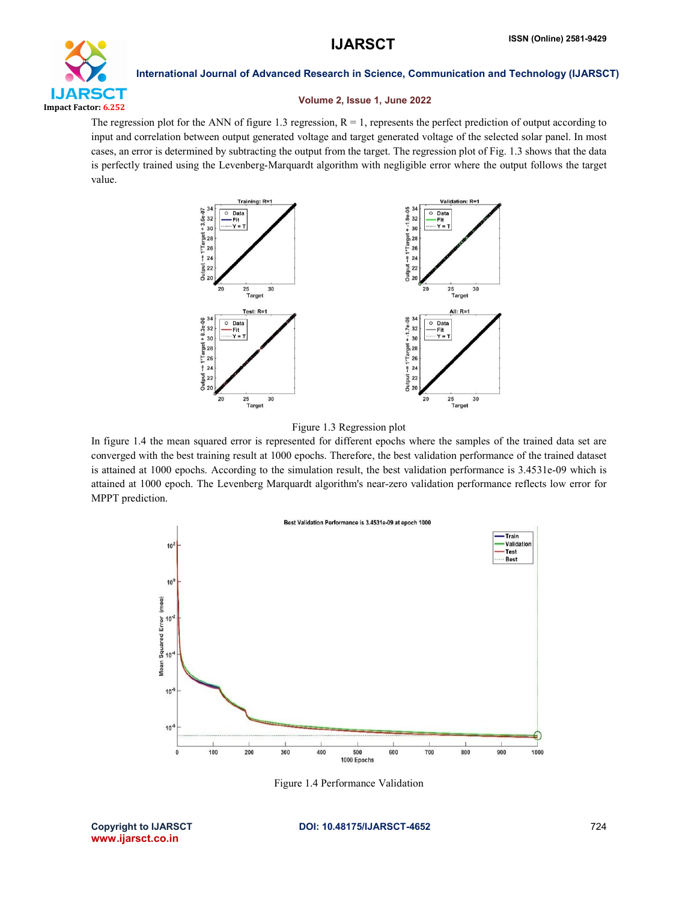

### Volume 2, Issue 1, June 2022

The regression plot for the ANN of figure 1.3 regression,  $R = 1$ , represents the perfect prediction of output according to input and correlation between output generated voltage and target generated voltage of the selected solar panel. In most cases, an error is determined by subtracting the output from the target. The regression plot of Fig. 1.3 shows that the data is perfectly trained using the Levenberg-Marquardt algorithm with negligible error where the output follows the target value.





In figure 1.4 the mean squared error is represented for different epochs where the samples of the trained data set are converged with the best training result at 1000 epochs. Therefore, the best validation performance of the trained dataset is attained at 1000 epochs. According to the simulation result, the best validation performance is 3.4531e-09 which is attained at 1000 epoch. The Levenberg Marquardt algorithm's near-zero validation performance reflects low error for MPPT prediction.



Figure 1.4 Performance Validation

www.ijarsct.co.in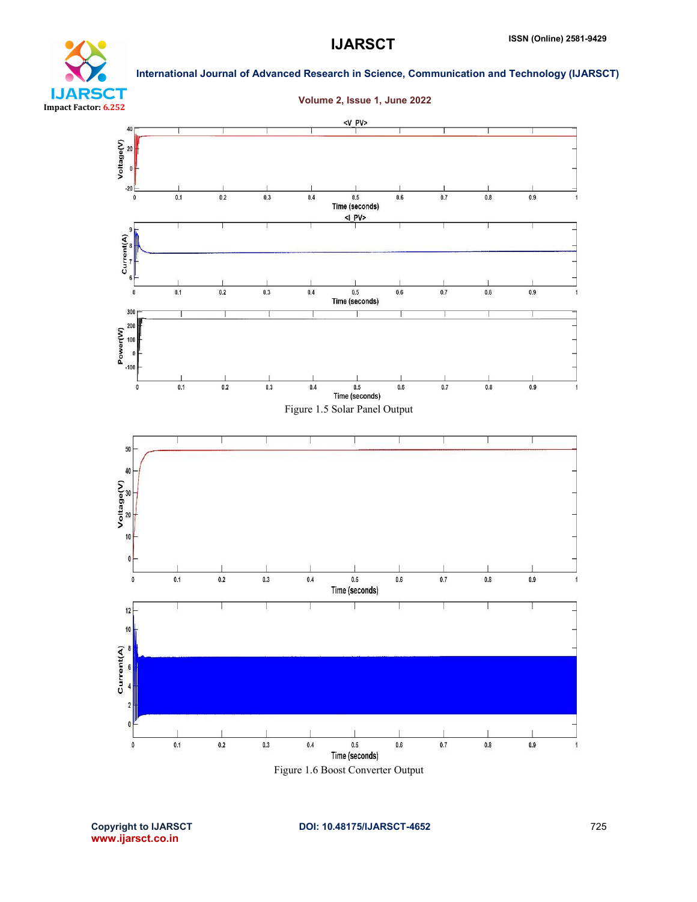

# **IJARSCT** Impact Factor: 6.252

International Journal of Advanced Research in Science, Communication and Technology (IJARSCT)



Figure 1.6 Boost Converter Output

www.ijarsct.co.in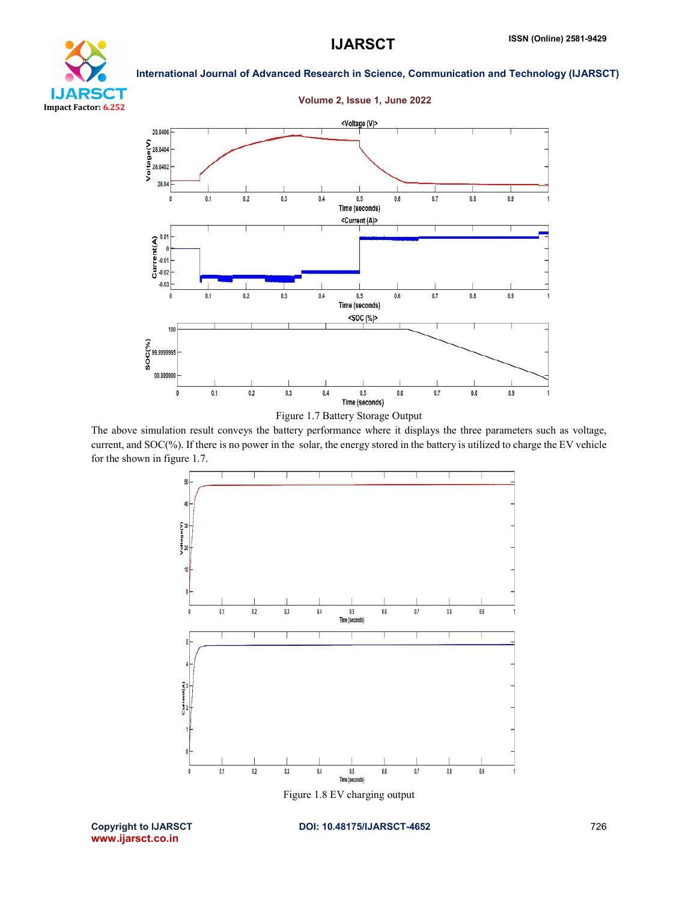

## Volume 2, Issue 1, June 2022



The above simulation result conveys the battery performance where it displays the three parameters such as voltage, current, and SOC(%). If there is no power in the solar, the energy stored in the battery is utilized to charge the EV vehicle for the shown in figure 1.7.



www.ijarsct.co.in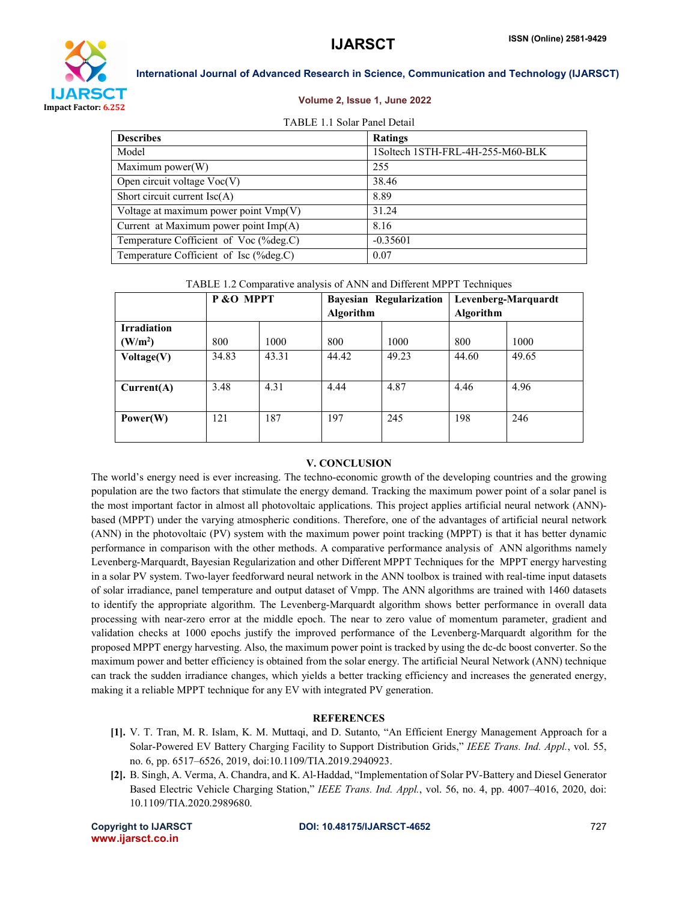

### Volume 2, Issue 1, June 2022

### TABLE 1.1 Solar Panel Detail

| <b>Describes</b>                        | Ratings                          |
|-----------------------------------------|----------------------------------|
| Model                                   | 1Soltech 1STH-FRL-4H-255-M60-BLK |
| Maximum power(W)                        | 255                              |
| Open circuit voltage $\text{Voc}(V)$    | 38.46                            |
| Short circuit current $\text{Isc}(A)$   | 8.89                             |
| Voltage at maximum power point $Vmp(V)$ | 31.24                            |
| Current at Maximum power point Imp(A)   | 8.16                             |
| Temperature Cofficient of Voc (%deg.C)  | $-0.35601$                       |
| Temperature Cofficient of Isc (%deg.C)  | 0.07                             |

TABLE 1.2 Comparative analysis of ANN and Different MPPT Techniques

|                     | P & O MPPT |       | <b>Bayesian Regularization</b> |       | Levenberg-Marquardt |       |
|---------------------|------------|-------|--------------------------------|-------|---------------------|-------|
|                     |            |       | Algorithm                      |       | <b>Algorithm</b>    |       |
| <b>Irradiation</b>  |            |       |                                |       |                     |       |
| (W/m <sup>2</sup> ) | 800        | 1000  | 800                            | 1000  | 800                 | 1000  |
| Voltage(V)          | 34.83      | 43.31 | 44.42                          | 49.23 | 44.60               | 49.65 |
| Current(A)          | 3.48       | 4.31  | 4.44                           | 4.87  | 4.46                | 4.96  |
| Power(W)            | 121        | 187   | 197                            | 245   | 198                 | 246   |

### V. CONCLUSION

The world's energy need is ever increasing. The techno-economic growth of the developing countries and the growing population are the two factors that stimulate the energy demand. Tracking the maximum power point of a solar panel is the most important factor in almost all photovoltaic applications. This project applies artificial neural network (ANN) based (MPPT) under the varying atmospheric conditions. Therefore, one of the advantages of artificial neural network (ANN) in the photovoltaic (PV) system with the maximum power point tracking (MPPT) is that it has better dynamic performance in comparison with the other methods. A comparative performance analysis of ANN algorithms namely Levenberg-Marquardt, Bayesian Regularization and other Different MPPT Techniques for the MPPT energy harvesting in a solar PV system. Two-layer feedforward neural network in the ANN toolbox is trained with real-time input datasets of solar irradiance, panel temperature and output dataset of Vmpp. The ANN algorithms are trained with 1460 datasets to identify the appropriate algorithm. The Levenberg-Marquardt algorithm shows better performance in overall data processing with near-zero error at the middle epoch. The near to zero value of momentum parameter, gradient and validation checks at 1000 epochs justify the improved performance of the Levenberg-Marquardt algorithm for the proposed MPPT energy harvesting. Also, the maximum power point is tracked by using the dc-dc boost converter. So the maximum power and better efficiency is obtained from the solar energy. The artificial Neural Network (ANN) technique can track the sudden irradiance changes, which yields a better tracking efficiency and increases the generated energy, making it a reliable MPPT technique for any EV with integrated PV generation.

### **REFERENCES**

- [1]. V. T. Tran, M. R. Islam, K. M. Muttaqi, and D. Sutanto, "An Efficient Energy Management Approach for a Solar-Powered EV Battery Charging Facility to Support Distribution Grids," *IEEE Trans. Ind. Appl.*, vol. 55, no. 6, pp. 6517–6526, 2019, doi:10.1109/TIA.2019.2940923.
- [2]. B. Singh, A. Verma, A. Chandra, and K. Al-Haddad, "Implementation of Solar PV-Battery and Diesel Generator Based Electric Vehicle Charging Station," *IEEE Trans. Ind. Appl.*, vol. 56, no. 4, pp. 4007–4016, 2020, doi: 10.1109/TIA.2020.2989680.

www.ijarsct.co.in